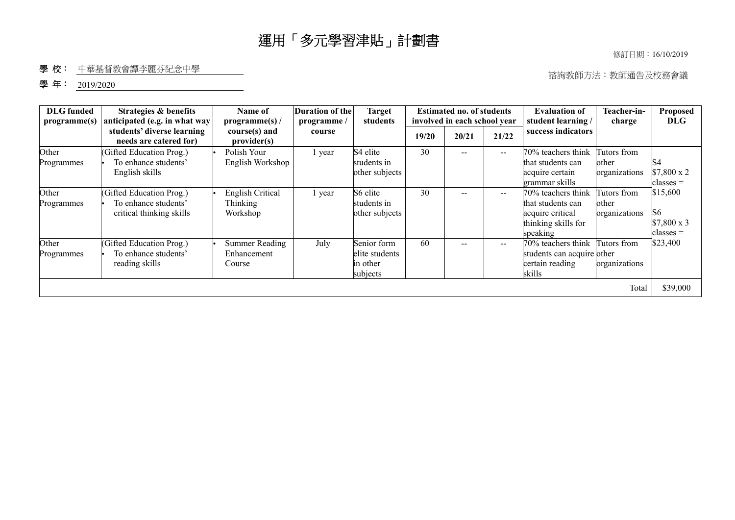修訂日期︰16/10/2019

#### 學校: 中華基督教會譚李麗芬紀念中學

諮詢教師方法︰教師通告及校務會議

#### 學年: 2019/2020

| <b>DLG</b> funded<br>programme(s) | <b>Strategies &amp; benefits</b><br>anticipated (e.g. in what way            | Name of<br>programme(s) /                | Duration of the<br><b>Target</b><br><b>Estimated no. of students</b><br><b>Evaluation of</b><br>involved in each school year<br>student learning /<br>students<br>programme/ |                                                       |       |       |                          | Teacher-in-<br>charge                                                                          | Proposed<br><b>DLG</b>                |                                                              |
|-----------------------------------|------------------------------------------------------------------------------|------------------------------------------|------------------------------------------------------------------------------------------------------------------------------------------------------------------------------|-------------------------------------------------------|-------|-------|--------------------------|------------------------------------------------------------------------------------------------|---------------------------------------|--------------------------------------------------------------|
|                                   | students' diverse learning<br>needs are catered for)                         | course(s) and<br>provider(s)             | course                                                                                                                                                                       |                                                       | 19/20 | 20/21 | 21/22                    | success indicators                                                                             |                                       |                                                              |
| Other<br>Programmes               | (Gifted Education Prog.)<br>To enhance students'<br>English skills           | Polish Your<br>English Workshop          | vear                                                                                                                                                                         | S4 elite<br>students in<br>other subjects             | 30    | --    | $\qquad \qquad -$        | 70% teachers think<br>that students can<br>acquire certain<br>grammar skills                   | Tutors from<br>other<br>organizations | S <sub>4</sub><br>\$7,800 x 2<br>classes =                   |
| Other<br>Programmes               | (Gifted Education Prog.)<br>To enhance students'<br>critical thinking skills | English Critical<br>Thinking<br>Workshop | l year                                                                                                                                                                       | S6 elite<br>students in<br>other subjects             | 30    |       | $\hspace{0.05cm} \ldots$ | 70% teachers think<br>that students can<br>acquire critical<br>thinking skills for<br>speaking | Tutors from<br>other<br>organizations | \$15,600<br>S <sub>6</sub><br>$$7,800 \times 3$<br>classes = |
| Other<br>Programmes               | (Gifted Education Prog.)<br>To enhance students'<br>reading skills           | Summer Reading<br>Enhancement<br>Course  | July                                                                                                                                                                         | Senior form<br>elite students<br>in other<br>subjects | 60    | --    | $\overline{\phantom{m}}$ | 70% teachers think<br>students can acquire other<br>certain reading<br>skills                  | Tutors from<br>organizations          | \$23,400                                                     |
|                                   |                                                                              |                                          |                                                                                                                                                                              |                                                       |       |       |                          |                                                                                                | Total                                 | \$39,000                                                     |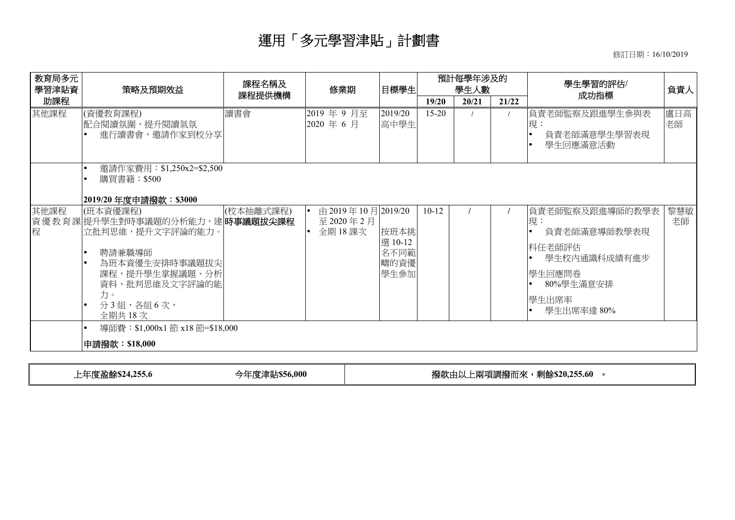修訂日期︰16/10/2019

| 教育局多元<br>學習津貼資 | 策略及預期效益                                                                                                                                                                                         | 課程名稱及     | 修業期                                       | 目標學生                                    | 預計每學年涉及的<br>學生人數 |                |  | 學生學習的評估/                                                                                                        | 負責人       |
|----------------|-------------------------------------------------------------------------------------------------------------------------------------------------------------------------------------------------|-----------|-------------------------------------------|-----------------------------------------|------------------|----------------|--|-----------------------------------------------------------------------------------------------------------------|-----------|
| 助課程            |                                                                                                                                                                                                 | 課程提供機構    |                                           |                                         | 19/20            | 20/21<br>21/22 |  | 成功指標                                                                                                            |           |
| 其他課程           | (資優教育課程)<br> 配合閱讀氛圍,提升閱讀氣氛<br>進行讀書會,邀請作家到校分享                                                                                                                                                    | 讀書會       | 2019年9月至<br>2020 年 6 月                    | 2019/20<br>高中學生                         | $15 - 20$        |                |  | 負責老師監察及跟進學生參與表<br>現:<br>負責老師滿意學生學習表現<br>學生回應滿意活動                                                                | 盧日高<br>老師 |
|                | 邀請作家費用:\$1,250x2=\$2,500<br>購買書籍:\$500<br> 2019/20年度申請撥款:\$3000                                                                                                                                 |           |                                           |                                         |                  |                |  |                                                                                                                 |           |
| 其他課程<br>程      | (班本資優課程)<br>資優教育課 提升學生對時事議題的分析能力,建 時事議題拔尖課程<br>立批判思維,提升文字評論的能力。<br>聘請兼職導師<br>為班本資優生安排時事議題拔尖<br>課程,提升學生掌握議題、分析<br>資料、批判思維及文字評論的能<br>力。<br>分3組,各組6次,<br>全期共18次<br>導師費: \$1,000x1 節 x18 節=\$18,000 | (校本抽離式課程) | 由 2019年10月2019/20<br>至2020年2月<br>全期 18 課次 | 按班本挑<br>選 10-12<br>名不同範<br>疇的資優<br>學生參加 | $10-12$          |                |  | 負責老師監察及跟進導師的教學表<br>現:<br>負責老師滿意導師教學表現<br>科任老師評估<br>學生校內通識科成績有進步<br> 學生回應問卷 <br>80%學生滿意安排<br>學生出席率<br>學生出席率達 80% | 黎慧敏<br>老師 |
|                | 申請撥款:\$18,000                                                                                                                                                                                   |           |                                           |                                         |                  |                |  |                                                                                                                 |           |
|                |                                                                                                                                                                                                 |           |                                           |                                         |                  |                |  |                                                                                                                 |           |

**上年度盈餘\$24,255.6 今年度津貼\$56,000 │ 撥款由以上兩項調撥而來,剩餘\$20,255.60 。**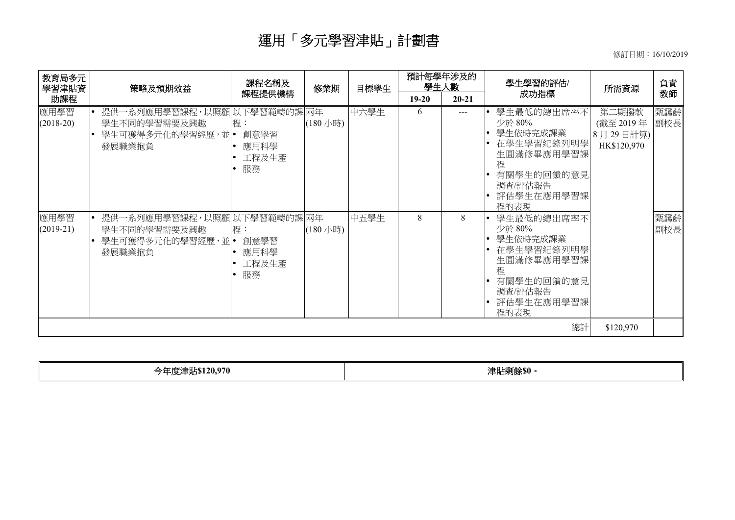修訂日期︰16/10/2019

| 教育局多元<br>學習津貼資                             | 策略及預期效益                                                                                                                                                                            | 課程名稱及                                                                  | 修業期                  | 目標學生         | 預計每學年涉及的<br>學生人數 |            | 學生學習的評估/                                                                                                                                                                                                                               | 所需資源                                          | 負責                       |
|--------------------------------------------|------------------------------------------------------------------------------------------------------------------------------------------------------------------------------------|------------------------------------------------------------------------|----------------------|--------------|------------------|------------|----------------------------------------------------------------------------------------------------------------------------------------------------------------------------------------------------------------------------------------|-----------------------------------------------|--------------------------|
| 助課程                                        |                                                                                                                                                                                    | 課程提供機構                                                                 |                      |              | $19 - 20$        | $20 - 21$  | 成功指標                                                                                                                                                                                                                                   |                                               | 教師                       |
| 應用學習<br>$(2018-20)$<br>應用學習<br>$(2019-21)$ | 提供一系列應用學習課程,以照顧 以下學習範疇的課 兩年<br>學生不同的學習需要及興趣<br>學生可獲得多元化的學習經歷,並 •<br>$\bullet$<br>發展職業抱負<br>提供一系列應用學習課程,以照顧 以下學習範疇的課 兩年<br>學生不同的學習需要及興趣<br>學生可獲得多元化的學習經歷,並 •<br>$\bullet$<br>發展職業抱負 | 程:<br>創意學習<br>應用科學<br>工程及生產<br>服務<br>程:<br>創意學習<br>應用科學<br>工程及生產<br>服務 | (180 小時)<br>(180 小時) | 中六學生<br>中五學生 | 6<br>8           | $---$<br>8 | 學生最低的總出席率不<br>少於 80%<br>學生依時完成課業<br>在學生學習紀錄列明學<br>生圓滿修畢應用學習課<br>程<br>有關學生的回饋的意見<br>調査/評估報告<br>評估學生在應用學習課<br>程的表現<br>學生最低的總出席率不<br>少於 80%<br>學生依時完成課業<br>• 在學生學習紀錄列明學<br>生圓滿修畢應用學習課<br>稈<br>有關學生的回饋的意見<br>調査/評估報告<br>評估學生在應用學習課<br>程的表現 | 第二期撥款<br>(截至 2019年<br>8月29日計算)<br>HK\$120,970 | 甄靄齡<br>副校長<br>甄靄齡<br>副校長 |
|                                            |                                                                                                                                                                                    |                                                                        |                      |              |                  |            | 總計                                                                                                                                                                                                                                     | \$120,970                                     |                          |

|--|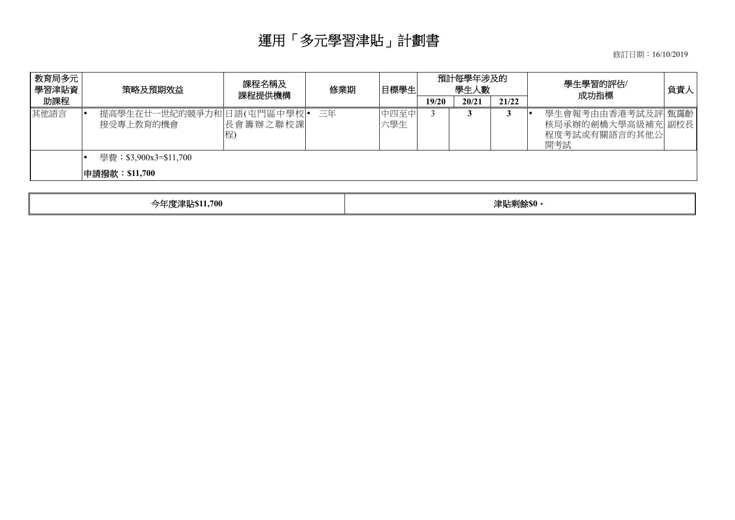修訂日期︰16/10/2019

| 教育局多元<br>  學習津貼資 | 策略及預期效益                                | 課程名稱及<br>修業期<br>課程提供機構 |    | 目標學生        | 預計每學年涉及的<br>學生人數 |       |       | 學生學習的評估/<br>成功指標                                               | 負責人 |
|------------------|----------------------------------------|------------------------|----|-------------|------------------|-------|-------|----------------------------------------------------------------|-----|
| 助課程              |                                        |                        |    |             | 19/20            | 20/21 | 21/22 |                                                                |     |
| 其他語言             | 提高學生在廿一世紀的競爭力和日語(屯門區中學校)•<br>接受專上教育的機會 | 長會籌辦之聯校課<br>程)         | 三年 | 中四至中<br>六學生 |                  |       |       | 學生會報考由由香港考試及評 甄靄齡<br>核局承辦的劍橋大學高級補充 副校長<br>程度考試或有關語言的其他公<br>開考試 |     |
|                  | 學費:\$3,900x3=\$11,700                  |                        |    |             |                  |       |       |                                                                |     |
|                  | 申請撥款:\$11,700                          |                        |    |             |                  |       |       |                                                                |     |
|                  |                                        |                        |    |             |                  |       |       |                                                                |     |